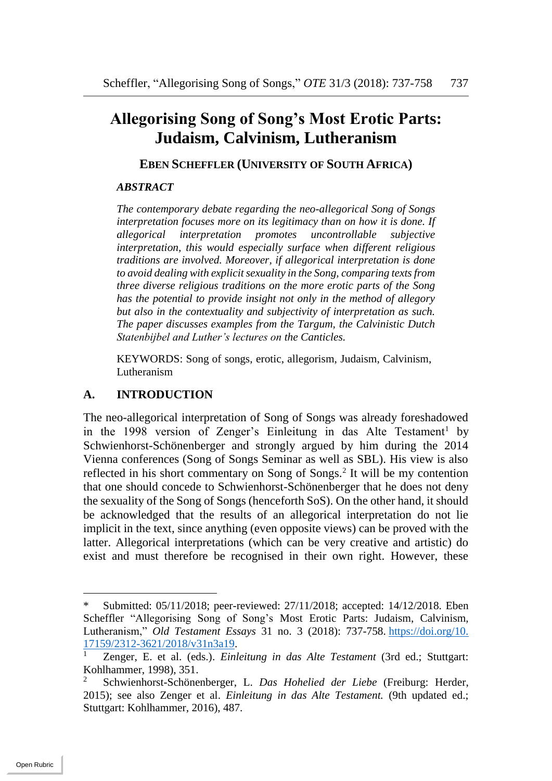# **Allegorising Song of Song's Most Erotic Parts: Judaism, Calvinism, Lutheranism**

#### **EBEN SCHEFFLER (UNIVERSITY OF SOUTH AFRICA)**

#### *ABSTRACT*

*The contemporary debate regarding the neo-allegorical Song of Songs interpretation focuses more on its legitimacy than on how it is done. If allegorical interpretation promotes uncontrollable subjective interpretation, this would especially surface when different religious traditions are involved. Moreover, if allegorical interpretation is done to avoid dealing with explicit sexuality in the Song, comparing texts from three diverse religious traditions on the more erotic parts of the Song has the potential to provide insight not only in the method of allegory but also in the contextuality and subjectivity of interpretation as such. The paper discusses examples from the Targum, the Calvinistic Dutch Statenbijbel and Luther's lectures on the Canticles.*

KEYWORDS: Song of songs, erotic, allegorism, Judaism, Calvinism, Lutheranism

#### **A. INTRODUCTION**

The neo-allegorical interpretation of Song of Songs was already foreshadowed in the 1998 version of Zenger's Einleitung in das Alte Testament<sup>1</sup> by Schwienhorst-Schönenberger and strongly argued by him during the 2014 Vienna conferences (Song of Songs Seminar as well as SBL). His view is also reflected in his short commentary on Song of Songs.<sup>2</sup> It will be my contention that one should concede to Schwienhorst-Schönenberger that he does not deny the sexuality of the Song of Songs (henceforth SoS). On the other hand, it should be acknowledged that the results of an allegorical interpretation do not lie implicit in the text, since anything (even opposite views) can be proved with the latter. Allegorical interpretations (which can be very creative and artistic) do exist and must therefore be recognised in their own right. However, these

Submitted: 05/11/2018; peer-reviewed: 27/11/2018; accepted: 14/12/2018. Eben Scheffler "Allegorising Song of Song's Most Erotic Parts: Judaism, Calvinism, Lutheranism," *Old Testament Essays* 31 no. 3 (2018): 737-758. [https://doi.org/10.](https://doi.org/10.%2017159/2312-3621/2018/v31n3a19)   $\frac{17159/2312-3621/2018/v31n3a19}{7\text{enger F et al (eds) Fin!}}$ 

<sup>1</sup> Zenger, E. et al. (eds.). *Einleitung in das Alte Testament* (3rd ed.; Stuttgart: Kohlhammer, 1998), 351.

<sup>2</sup> Schwienhorst-Schönenberger, L. *Das Hohelied der Liebe* (Freiburg: Herder, 2015); see also Zenger et al. *Einleitung in das Alte Testament.* (9th updated ed.; Stuttgart: Kohlhammer, 2016), 487.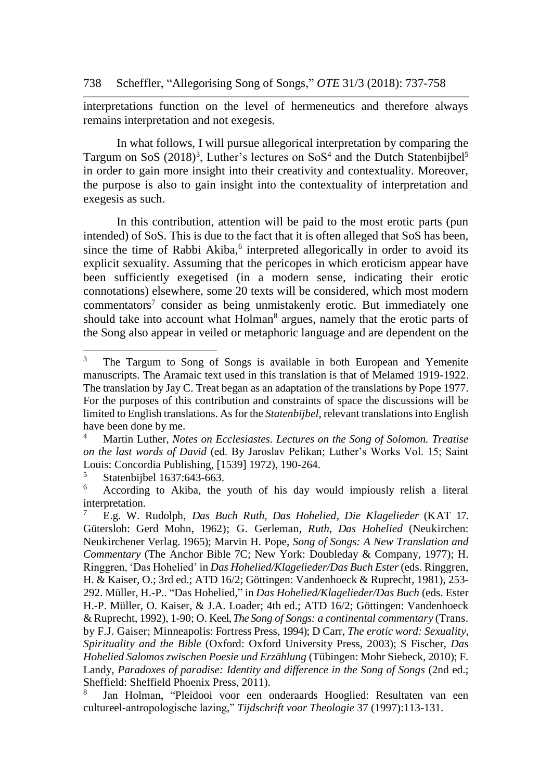interpretations function on the level of hermeneutics and therefore always remains interpretation and not exegesis.

In what follows, I will pursue allegorical interpretation by comparing the Targum on SoS (2018)<sup>3</sup>, Luther's lectures on SoS<sup>4</sup> and the Dutch Statenbijbel<sup>5</sup> in order to gain more insight into their creativity and contextuality. Moreover, the purpose is also to gain insight into the contextuality of interpretation and exegesis as such.

In this contribution, attention will be paid to the most erotic parts (pun intended) of SoS. This is due to the fact that it is often alleged that SoS has been, since the time of Rabbi Akiba,<sup>6</sup> interpreted allegorically in order to avoid its explicit sexuality. Assuming that the pericopes in which eroticism appear have been sufficiently exegetised (in a modern sense, indicating their erotic connotations) elsewhere, some 20 texts will be considered, which most modern commentators<sup>7</sup> consider as being unmistakenly erotic. But immediately one should take into account what Holman<sup>8</sup> argues, namely that the erotic parts of the Song also appear in veiled or metaphoric language and are dependent on the

 $\mathfrak{Z}$ <sup>3</sup> The Targum to Song of Songs is available in both European and Yemenite manuscripts. The Aramaic text used in this translation is that of Melamed 1919-1922. The translation by Jay C. Treat began as an adaptation of the translations by Pope 1977. For the purposes of this contribution and constraints of space the discussions will be limited to English translations. As for the *Statenbijbel,* relevant translations into English have been done by me.

<sup>4</sup> Martin Luther, *Notes on Ecclesiastes. Lectures on the Song of Solomon. Treatise on the last words of David* (ed. By Jaroslav Pelikan; Luther's Works Vol. 15; Saint Louis: Concordia Publishing, [1539] 1972), 190-264.

 $\frac{5}{6}$  Statenbijbel 1637:643-663.

<sup>6</sup> According to Akiba, the youth of his day would impiously relish a literal interpretation.

<sup>7</sup> E.g. W. Rudolph, *Das Buch Ruth, Das Hohelied, Die Klagelieder* (KAT 17. Gütersloh: Gerd Mohn, 1962); G. Gerleman, *Ruth, Das Hohelied* (Neukirchen: Neukirchener Verlag. 1965); Marvin H. Pope, *Song of Songs: A New Translation and Commentary* (The Anchor Bible 7C; New York: Doubleday & Company, 1977); H. Ringgren, 'Das Hohelied' in *Das Hohelied/Klagelieder/Das Buch Ester* (eds. Ringgren, H. & Kaiser, O.; 3rd ed.; ATD 16/2; Göttingen: Vandenhoeck & Ruprecht, 1981), 253- 292. Müller, H.-P.. "Das Hohelied," in *Das Hohelied/Klagelieder/Das Buch* (eds. Ester H.-P. Müller, O. Kaiser, & J.A. Loader; 4th ed.; ATD 16/2; Göttingen: Vandenhoeck & Ruprecht, 1992), 1-90; O. Keel, *The Song of Songs: a continental commentary* (Trans. by F.J. Gaiser; Minneapolis: Fortress Press, 1994); D Carr, *The erotic word: Sexuality, Spirituality and the Bible* (Oxford: Oxford University Press, 2003); S Fischer, *Das Hohelied Salomos zwischen Poesie und Erzählung* (Tübingen: Mohr Siebeck, 2010); F. Landy, *Paradoxes of paradise: Identity and difference in the Song of Songs* (2nd ed.; Sheffield: Sheffield Phoenix Press, 2011).

<sup>8</sup> Jan Holman, "Pleidooi voor een onderaards Hooglied: Resultaten van een cultureel-antropologische lazing," *Tijdschrift voor Theologie* 37 (1997):113-131.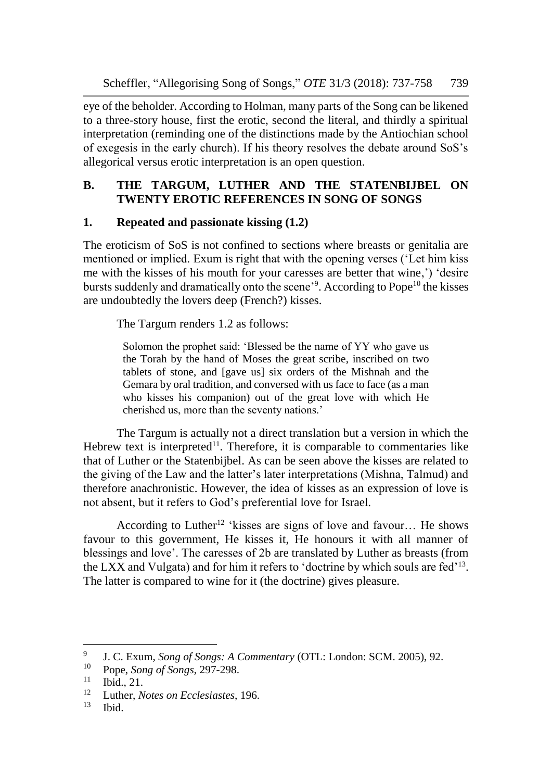eye of the beholder. According to Holman, many parts of the Song can be likened to a three-story house, first the erotic, second the literal, and thirdly a spiritual interpretation (reminding one of the distinctions made by the Antiochian school of exegesis in the early church). If his theory resolves the debate around SoS's allegorical versus erotic interpretation is an open question.

# **B. THE TARGUM, LUTHER AND THE STATENBIJBEL ON TWENTY EROTIC REFERENCES IN SONG OF SONGS**

# **1. Repeated and passionate kissing (1.2)**

The eroticism of SoS is not confined to sections where breasts or genitalia are mentioned or implied. Exum is right that with the opening verses ('Let him kiss me with the kisses of his mouth for your caresses are better that wine,') 'desire bursts suddenly and dramatically onto the scene<sup>39</sup>. According to Pope<sup>10</sup> the kisses are undoubtedly the lovers deep (French?) kisses.

The Targum renders 1.2 as follows:

Solomon the prophet said: 'Blessed be the name of YY who gave us the Torah by the hand of Moses the great scribe, inscribed on two tablets of stone, and [gave us] six orders of the Mishnah and the Gemara by oral tradition, and conversed with us face to face (as a man who kisses his companion) out of the great love with which He cherished us, more than the seventy nations.'

The Targum is actually not a direct translation but a version in which the Hebrew text is interpreted<sup>11</sup>. Therefore, it is comparable to commentaries like that of Luther or the Statenbijbel. As can be seen above the kisses are related to the giving of the Law and the latter's later interpretations (Mishna, Talmud) and therefore anachronistic. However, the idea of kisses as an expression of love is not absent, but it refers to God's preferential love for Israel.

According to Luther<sup>12</sup> 'kisses are signs of love and favour... He shows favour to this government, He kisses it, He honours it with all manner of blessings and love'. The caresses of 2b are translated by Luther as breasts (from the LXX and Vulgata) and for him it refers to 'doctrine by which souls are fed'<sup>13</sup> . The latter is compared to wine for it (the doctrine) gives pleasure.

l

<sup>9</sup> J. C. Exum, *Song of Songs: A Commentary* (OTL: London: SCM. 2005), 92.

<sup>&</sup>lt;sup>10</sup> Pope, *Song of Songs*, 297-298.

Ibid., 21.

<sup>12</sup> Luther, *Notes on Ecclesiastes*, 196.

Ibid.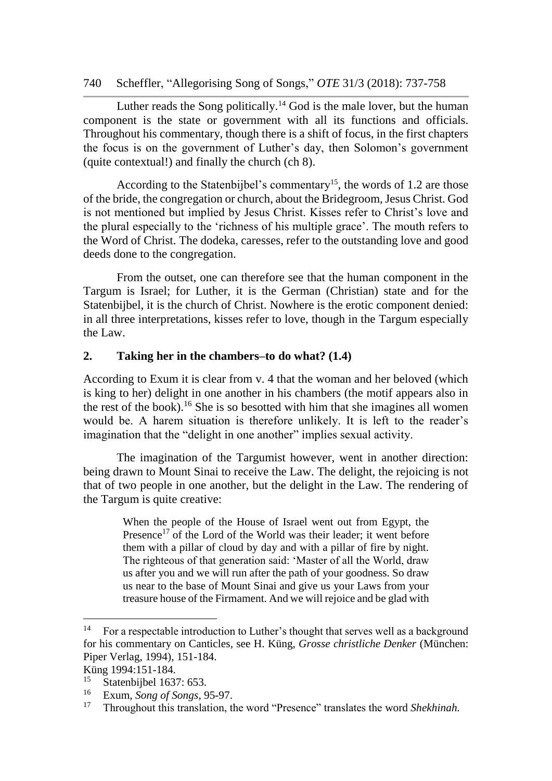# 740 Scheffler, "Allegorising Song of Songs," *OTE* 31/3 (2018): 737-758

Luther reads the Song politically.<sup>14</sup> God is the male lover, but the human component is the state or government with all its functions and officials. Throughout his commentary, though there is a shift of focus, in the first chapters the focus is on the government of Luther's day, then Solomon's government (quite contextual!) and finally the church (ch 8).

According to the Statenbijbel's commentary<sup>15</sup>, the words of 1.2 are those of the bride, the congregation or church, about the Bridegroom, Jesus Christ. God is not mentioned but implied by Jesus Christ. Kisses refer to Christ's love and the plural especially to the 'richness of his multiple grace'. The mouth refers to the Word of Christ. The dodeka, caresses, refer to the outstanding love and good deeds done to the congregation.

From the outset, one can therefore see that the human component in the Targum is Israel; for Luther, it is the German (Christian) state and for the Statenbijbel, it is the church of Christ. Nowhere is the erotic component denied: in all three interpretations, kisses refer to love, though in the Targum especially the Law.

#### **2. Taking her in the chambers–to do what? (1.4)**

According to Exum it is clear from v. 4 that the woman and her beloved (which is king to her) delight in one another in his chambers (the motif appears also in the rest of the book).<sup>16</sup> She is so besotted with him that she imagines all women would be. A harem situation is therefore unlikely. It is left to the reader's imagination that the "delight in one another" implies sexual activity.

The imagination of the Targumist however, went in another direction: being drawn to Mount Sinai to receive the Law. The delight, the rejoicing is not that of two people in one another, but the delight in the Law. The rendering of the Targum is quite creative:

> When the people of the House of Israel went out from Egypt, the Presence<sup>17</sup> of the Lord of the World was their leader; it went before them with a pillar of cloud by day and with a pillar of fire by night. The righteous of that generation said: 'Master of all the World, draw us after you and we will run after the path of your goodness. So draw us near to the base of Mount Sinai and give us your Laws from your treasure house of the Firmament. And we will rejoice and be glad with

l

<sup>&</sup>lt;sup>14</sup> For a respectable introduction to Luther's thought that serves well as a background for his commentary on Canticles, see H. Küng, *Grosse christliche Denker* (München: Piper Verlag, 1994), 151-184.

Küng 1994:151-184.<br><sup>15</sup> Statephijkel 1632

<sup>&</sup>lt;sup>15</sup> Statenbijbel 1637: 653.<br><sup>16</sup> Exum Song of Songs 9

<sup>16</sup> Exum, *Song of Songs*, 95-97.

<sup>17</sup> Throughout this translation, the word "Presence" translates the word *Shekhinah.*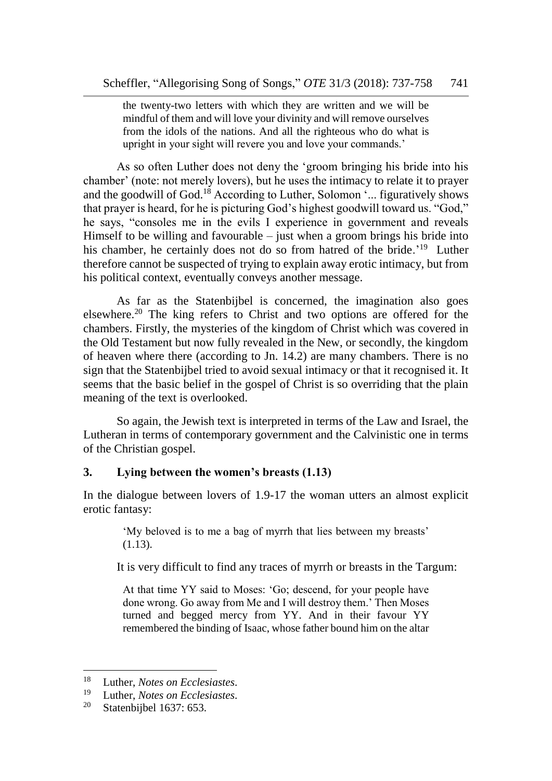the twenty-two letters with which they are written and we will be mindful of them and will love your divinity and will remove ourselves from the idols of the nations. And all the righteous who do what is upright in your sight will revere you and love your commands.'

As so often Luther does not deny the 'groom bringing his bride into his chamber' (note: not merely lovers), but he uses the intimacy to relate it to prayer and the goodwill of God.<sup>18</sup> According to Luther, Solomon  $\ldots$  figuratively shows that prayer is heard, for he is picturing God's highest goodwill toward us. "God," he says, "consoles me in the evils I experience in government and reveals Himself to be willing and favourable  $-$  just when a groom brings his bride into his chamber, he certainly does not do so from hatred of the bride.<sup>'19</sup> Luther therefore cannot be suspected of trying to explain away erotic intimacy, but from his political context, eventually conveys another message.

As far as the Statenbijbel is concerned, the imagination also goes elsewhere.<sup>20</sup> The king refers to Christ and two options are offered for the chambers. Firstly, the mysteries of the kingdom of Christ which was covered in the Old Testament but now fully revealed in the New, or secondly, the kingdom of heaven where there (according to Jn. 14.2) are many chambers. There is no sign that the Statenbijbel tried to avoid sexual intimacy or that it recognised it. It seems that the basic belief in the gospel of Christ is so overriding that the plain meaning of the text is overlooked.

So again, the Jewish text is interpreted in terms of the Law and Israel, the Lutheran in terms of contemporary government and the Calvinistic one in terms of the Christian gospel.

# **3. Lying between the women's breasts (1.13)**

In the dialogue between lovers of 1.9-17 the woman utters an almost explicit erotic fantasy:

'My beloved is to me a bag of myrrh that lies between my breasts' (1.13).

It is very difficult to find any traces of myrrh or breasts in the Targum:

At that time YY said to Moses: 'Go; descend, for your people have done wrong. Go away from Me and I will destroy them.' Then Moses turned and begged mercy from YY. And in their favour YY remembered the binding of Isaac, whose father bound him on the altar

<sup>18</sup> Luther, *Notes on Ecclesiastes*.

<sup>19</sup> Luther, *Notes on Ecclesiastes*.

Statenbijbel 1637: 653.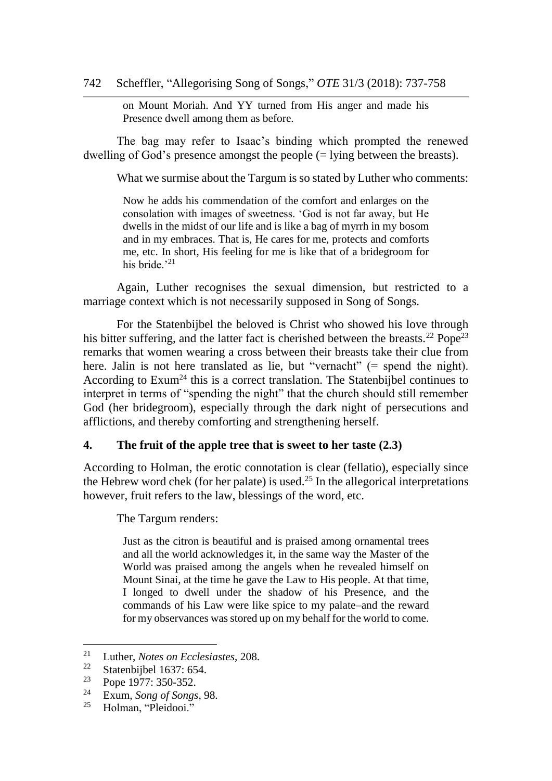on Mount Moriah. And YY turned from His anger and made his Presence dwell among them as before.

The bag may refer to Isaac's binding which prompted the renewed dwelling of God's presence amongst the people (= lying between the breasts).

What we surmise about the Targum is so stated by Luther who comments:

Now he adds his commendation of the comfort and enlarges on the consolation with images of sweetness. 'God is not far away, but He dwells in the midst of our life and is like a bag of myrrh in my bosom and in my embraces. That is, He cares for me, protects and comforts me, etc. In short, His feeling for me is like that of a bridegroom for his bride.'<sup>21</sup>

Again, Luther recognises the sexual dimension, but restricted to a marriage context which is not necessarily supposed in Song of Songs.

For the Statenbijbel the beloved is Christ who showed his love through his bitter suffering, and the latter fact is cherished between the breasts.<sup>22</sup> Pope<sup>23</sup> remarks that women wearing a cross between their breasts take their clue from here. Jalin is not here translated as lie, but "vernacht" (= spend the night). According to Exum<sup>24</sup> this is a correct translation. The Statenbijbel continues to interpret in terms of "spending the night" that the church should still remember God (her bridegroom), especially through the dark night of persecutions and afflictions, and thereby comforting and strengthening herself.

# **4. The fruit of the apple tree that is sweet to her taste (2.3)**

According to Holman, the erotic connotation is clear (fellatio), especially since the Hebrew word chek (for her palate) is used.<sup>25</sup> In the allegorical interpretations however, fruit refers to the law, blessings of the word, etc.

The Targum renders:

Just as the citron is beautiful and is praised among ornamental trees and all the world acknowledges it, in the same way the Master of the World was praised among the angels when he revealed himself on Mount Sinai, at the time he gave the Law to His people. At that time, I longed to dwell under the shadow of his Presence, and the commands of his Law were like spice to my palate–and the reward for my observances was stored up on my behalf for the world to come.

l

<sup>&</sup>lt;sup>21</sup> Luther, *Notes on Ecclesiastes*, 208.<br><sup>22</sup> Stateshijkel 1637: 654

<sup>&</sup>lt;sup>22</sup> Statenbijbel 1637: 654.<br><sup>23</sup> Pana 1077: 250, 252.

 $\frac{23}{24}$  Pope 1977: 350-352.

<sup>24</sup> Exum, *Song of Songs*, 98.

Holman, "Pleidooi."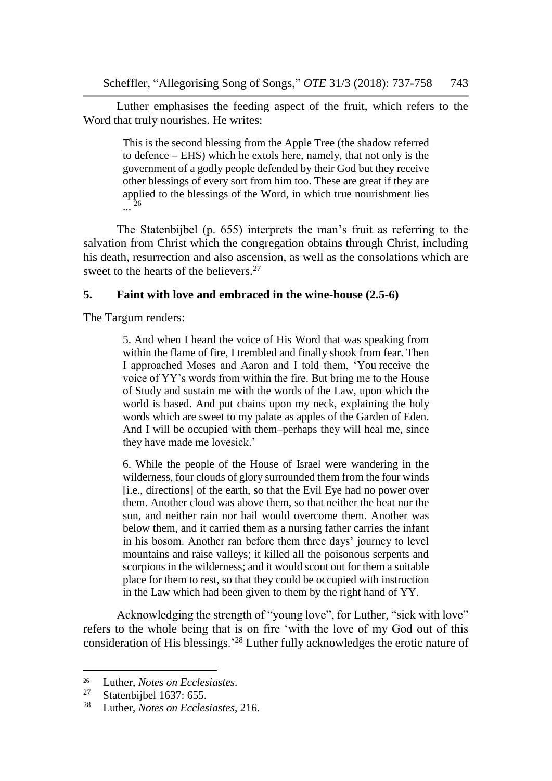Luther emphasises the feeding aspect of the fruit, which refers to the Word that truly nourishes. He writes:

> This is the second blessing from the Apple Tree (the shadow referred to defence – EHS) which he extols here, namely, that not only is the government of a godly people defended by their God but they receive other blessings of every sort from him too. These are great if they are applied to the blessings of the Word, in which true nourishment lies ... 26

The Statenbijbel (p. 655) interprets the man's fruit as referring to the salvation from Christ which the congregation obtains through Christ, including his death, resurrection and also ascension, as well as the consolations which are sweet to the hearts of the believers.<sup>27</sup>

## **5. Faint with love and embraced in the wine-house (2.5-6)**

The Targum renders:

5. And when I heard the voice of His Word that was speaking from within the flame of fire, I trembled and finally shook from fear. Then I approached Moses and Aaron and I told them, 'You receive the voice of YY's words from within the fire. But bring me to the House of Study and sustain me with the words of the Law, upon which the world is based. And put chains upon my neck, explaining the holy words which are sweet to my palate as apples of the Garden of Eden. And I will be occupied with them–perhaps they will heal me, since they have made me lovesick.'

6. While the people of the House of Israel were wandering in the wilderness, four clouds of glory surrounded them from the four winds [i.e., directions] of the earth, so that the Evil Eye had no power over them. Another cloud was above them, so that neither the heat nor the sun, and neither rain nor hail would overcome them. Another was below them, and it carried them as a nursing father carries the infant in his bosom. Another ran before them three days' journey to level mountains and raise valleys; it killed all the poisonous serpents and scorpions in the wilderness; and it would scout out for them a suitable place for them to rest, so that they could be occupied with instruction in the Law which had been given to them by the right hand of YY.

Acknowledging the strength of "young love", for Luther, "sick with love" refers to the whole being that is on fire 'with the love of my God out of this consideration of His blessings.'<sup>28</sup> Luther fully acknowledges the erotic nature of

<sup>&</sup>lt;sup>26</sup> Luther, *Notes on Ecclesiastes*.<br><sup>27</sup> Statephijkel 1637: 655

<sup>&</sup>lt;sup>27</sup> Statenbijbel 1637: 655.<br><sup>28</sup> Luther Notes on Eccles

<sup>28</sup> Luther, *Notes on Ecclesiastes*, 216.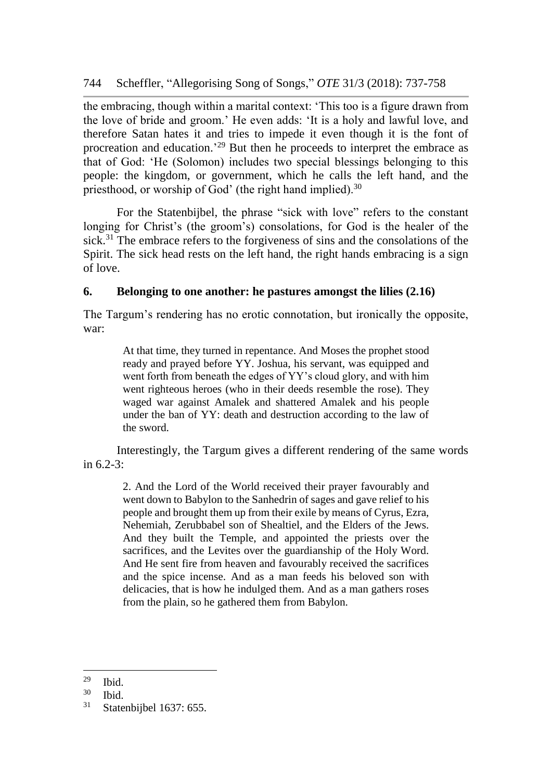the embracing, though within a marital context: 'This too is a figure drawn from the love of bride and groom.' He even adds: 'It is a holy and lawful love, and therefore Satan hates it and tries to impede it even though it is the font of procreation and education.<sup>'29</sup> But then he proceeds to interpret the embrace as that of God: 'He (Solomon) includes two special blessings belonging to this people: the kingdom, or government, which he calls the left hand, and the priesthood, or worship of God' (the right hand implied).<sup>30</sup>

For the Statenbijbel, the phrase "sick with love" refers to the constant longing for Christ's (the groom's) consolations, for God is the healer of the sick.<sup>31</sup> The embrace refers to the forgiveness of sins and the consolations of the Spirit. The sick head rests on the left hand, the right hands embracing is a sign of love.

# **6. Belonging to one another: he pastures amongst the lilies (2.16)**

The Targum's rendering has no erotic connotation, but ironically the opposite, war:

> At that time, they turned in repentance. And Moses the prophet stood ready and prayed before YY. Joshua, his servant, was equipped and went forth from beneath the edges of YY's cloud glory, and with him went righteous heroes (who in their deeds resemble the rose). They waged war against Amalek and shattered Amalek and his people under the ban of YY: death and destruction according to the law of the sword.

Interestingly, the Targum gives a different rendering of the same words in 6.2-3:

> 2. And the Lord of the World received their prayer favourably and went down to Babylon to the Sanhedrin of sages and gave relief to his people and brought them up from their exile by means of Cyrus, Ezra, Nehemiah, Zerubbabel son of Shealtiel, and the Elders of the Jews. And they built the Temple, and appointed the priests over the sacrifices, and the Levites over the guardianship of the Holy Word. And He sent fire from heaven and favourably received the sacrifices and the spice incense. And as a man feeds his beloved son with delicacies, that is how he indulged them. And as a man gathers roses from the plain, so he gathered them from Babylon.

 $rac{29}{30}$  Ibid.

 $\frac{30}{31}$  Ibid.

Statenbijbel 1637: 655.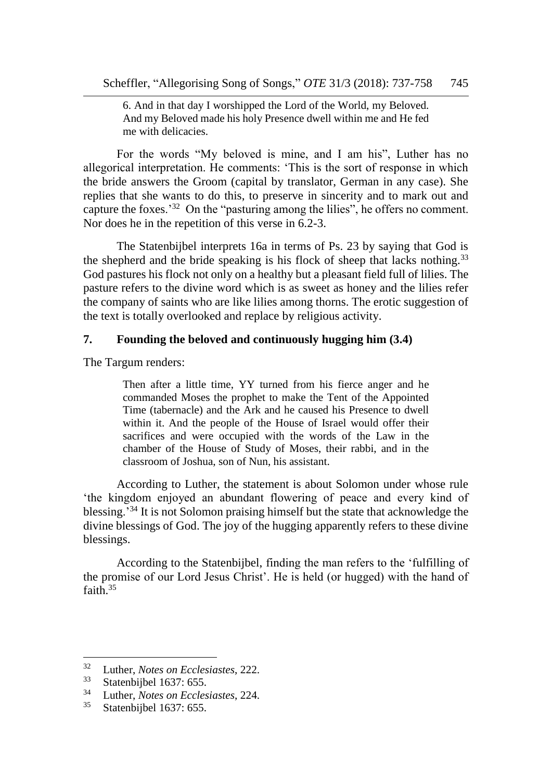6. And in that day I worshipped the Lord of the World, my Beloved. And my Beloved made his holy Presence dwell within me and He fed me with delicacies.

For the words "My beloved is mine, and I am his", Luther has no allegorical interpretation. He comments: 'This is the sort of response in which the bride answers the Groom (capital by translator, German in any case). She replies that she wants to do this, to preserve in sincerity and to mark out and capture the foxes.<sup>32</sup> On the "pasturing among the lilies", he offers no comment. Nor does he in the repetition of this verse in 6.2-3.

The Statenbijbel interprets 16a in terms of Ps. 23 by saying that God is the shepherd and the bride speaking is his flock of sheep that lacks nothing.<sup>33</sup> God pastures his flock not only on a healthy but a pleasant field full of lilies. The pasture refers to the divine word which is as sweet as honey and the lilies refer the company of saints who are like lilies among thorns. The erotic suggestion of the text is totally overlooked and replace by religious activity.

#### **7. Founding the beloved and continuously hugging him (3.4)**

The Targum renders:

Then after a little time, YY turned from his fierce anger and he commanded Moses the prophet to make the Tent of the Appointed Time (tabernacle) and the Ark and he caused his Presence to dwell within it. And the people of the House of Israel would offer their sacrifices and were occupied with the words of the Law in the chamber of the House of Study of Moses, their rabbi, and in the classroom of Joshua, son of Nun, his assistant.

According to Luther, the statement is about Solomon under whose rule 'the kingdom enjoyed an abundant flowering of peace and every kind of blessing.'<sup>34</sup> It is not Solomon praising himself but the state that acknowledge the divine blessings of God. The joy of the hugging apparently refers to these divine blessings.

According to the Statenbijbel, finding the man refers to the 'fulfilling of the promise of our Lord Jesus Christ'. He is held (or hugged) with the hand of faith.<sup>35</sup>

<sup>32</sup> Luther, *Notes on Ecclesiastes*, 222.

 $33$  Statenbijbel 1637: 655.<br> $34$  Juther Mates on Facles

<sup>34</sup> Luther, *Notes on Ecclesiastes*, 224.

Statenbijbel 1637: 655.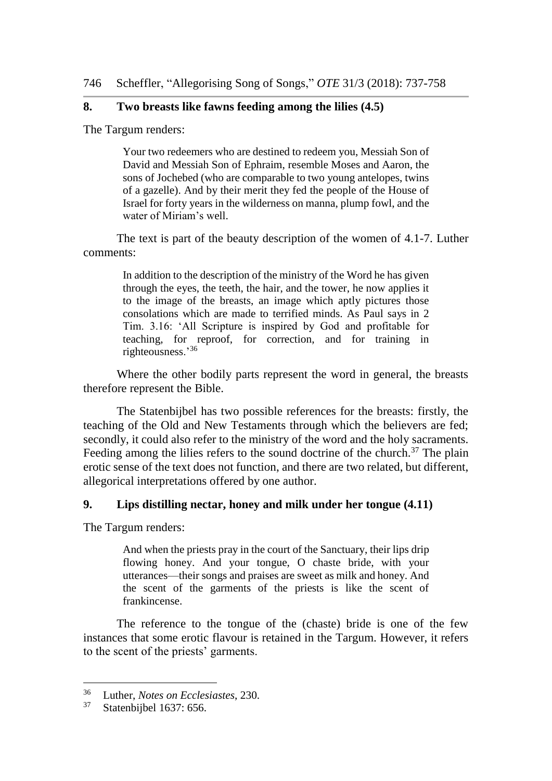# **8. Two breasts like fawns feeding among the lilies (4.5)**

The Targum renders:

Your two redeemers who are destined to redeem you, Messiah Son of David and Messiah Son of Ephraim, resemble Moses and Aaron, the sons of Jochebed (who are comparable to two young antelopes, twins of a gazelle). And by their merit they fed the people of the House of Israel for forty years in the wilderness on manna, plump fowl, and the water of Miriam's well.

The text is part of the beauty description of the women of 4.1-7. Luther comments:

In addition to the description of the ministry of the Word he has given through the eyes, the teeth, the hair, and the tower, he now applies it to the image of the breasts, an image which aptly pictures those consolations which are made to terrified minds. As Paul says in 2 Tim. 3.16: 'All Scripture is inspired by God and profitable for teaching, for reproof, for correction, and for training in righteousness.'<sup>36</sup>

Where the other bodily parts represent the word in general, the breasts therefore represent the Bible.

The Statenbijbel has two possible references for the breasts: firstly, the teaching of the Old and New Testaments through which the believers are fed; secondly, it could also refer to the ministry of the word and the holy sacraments. Feeding among the lilies refers to the sound doctrine of the church.<sup>37</sup> The plain erotic sense of the text does not function, and there are two related, but different, allegorical interpretations offered by one author.

#### **9. Lips distilling nectar, honey and milk under her tongue (4.11)**

The Targum renders:

And when the priests pray in the court of the Sanctuary, their lips drip flowing honey. And your tongue, O chaste bride, with your utterances—their songs and praises are sweet as milk and honey. And the scent of the garments of the priests is like the scent of frankincense.

The reference to the tongue of the (chaste) bride is one of the few instances that some erotic flavour is retained in the Targum. However, it refers to the scent of the priests' garments.

<sup>&</sup>lt;sup>36</sup> Luther, *Notes on Ecclesiastes*, 230.<br><sup>37</sup> Statenbijbel 1637: 656

Statenbijbel 1637: 656.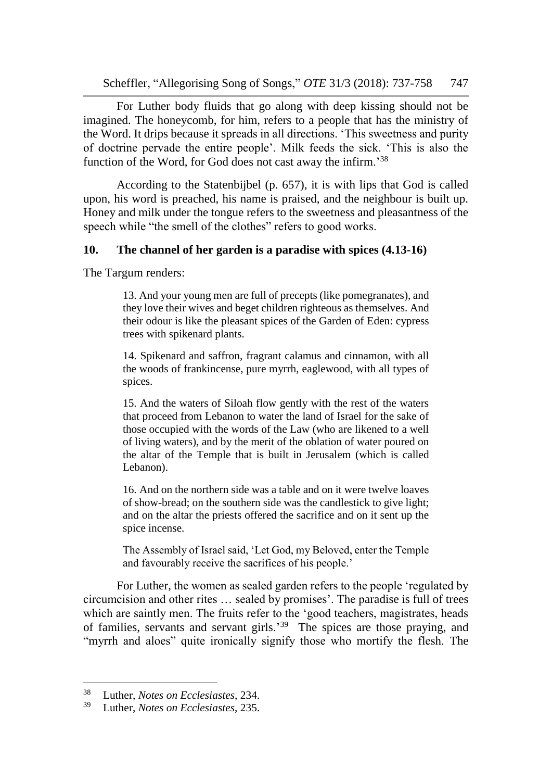Scheffler, "Allegorising Song of Songs," *OTE* 31/3 (2018): 737-758 747

For Luther body fluids that go along with deep kissing should not be imagined. The honeycomb, for him, refers to a people that has the ministry of the Word. It drips because it spreads in all directions. 'This sweetness and purity of doctrine pervade the entire people'. Milk feeds the sick. 'This is also the function of the Word, for God does not cast away the infirm.'<sup>38</sup>

According to the Statenbijbel (p. 657), it is with lips that God is called upon, his word is preached, his name is praised, and the neighbour is built up. Honey and milk under the tongue refers to the sweetness and pleasantness of the speech while "the smell of the clothes" refers to good works.

#### **10. The channel of her garden is a paradise with spices (4.13-16)**

The Targum renders:

13. And your young men are full of precepts (like pomegranates), and they love their wives and beget children righteous as themselves. And their odour is like the pleasant spices of the Garden of Eden: cypress trees with spikenard plants.

14. Spikenard and saffron, fragrant calamus and cinnamon, with all the woods of frankincense, pure myrrh, eaglewood, with all types of spices.

15. And the waters of Siloah flow gently with the rest of the waters that proceed from Lebanon to water the land of Israel for the sake of those occupied with the words of the Law (who are likened to a well of living waters), and by the merit of the oblation of water poured on the altar of the Temple that is built in Jerusalem (which is called Lebanon).

16. And on the northern side was a table and on it were twelve loaves of show-bread; on the southern side was the candlestick to give light; and on the altar the priests offered the sacrifice and on it sent up the spice incense.

The Assembly of Israel said, 'Let God, my Beloved, enter the Temple and favourably receive the sacrifices of his people.'

For Luther, the women as sealed garden refers to the people 'regulated by circumcision and other rites … sealed by promises'. The paradise is full of trees which are saintly men. The fruits refer to the 'good teachers, magistrates, heads of families, servants and servant girls.'<sup>39</sup> The spices are those praying, and "myrrh and aloes" quite ironically signify those who mortify the flesh. The

<sup>38</sup> Luther, *Notes on Ecclesiastes*, 234.

<sup>39</sup> Luther, *Notes on Ecclesiastes*, 235.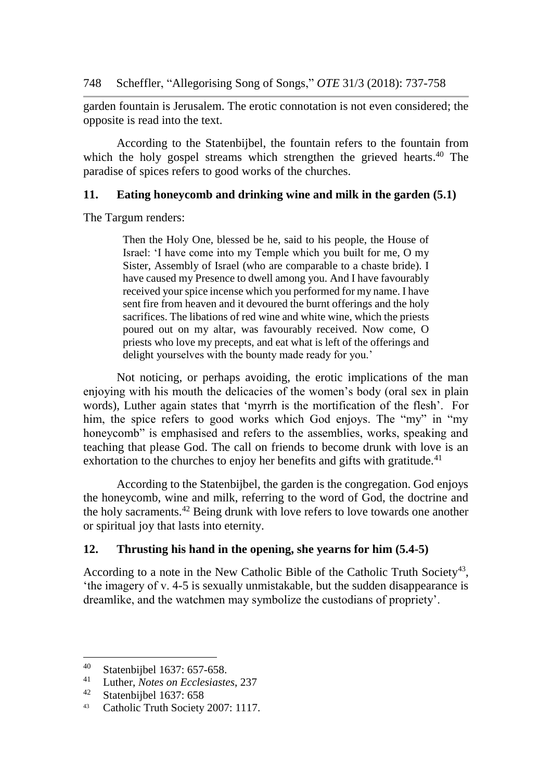garden fountain is Jerusalem. The erotic connotation is not even considered; the opposite is read into the text.

According to the Statenbijbel, the fountain refers to the fountain from which the holy gospel streams which strengthen the grieved hearts.<sup>40</sup> The paradise of spices refers to good works of the churches.

# **11. Eating honeycomb and drinking wine and milk in the garden (5.1)**

The Targum renders:

Then the Holy One, blessed be he, said to his people, the House of Israel: 'I have come into my Temple which you built for me, O my Sister, Assembly of Israel (who are comparable to a chaste bride). I have caused my Presence to dwell among you. And I have favourably received your spice incense which you performed for my name. I have sent fire from heaven and it devoured the burnt offerings and the holy sacrifices. The libations of red wine and white wine, which the priests poured out on my altar, was favourably received. Now come, O priests who love my precepts, and eat what is left of the offerings and delight yourselves with the bounty made ready for you.'

Not noticing, or perhaps avoiding, the erotic implications of the man enjoying with his mouth the delicacies of the women's body (oral sex in plain words), Luther again states that 'myrrh is the mortification of the flesh'. For him, the spice refers to good works which God enjoys. The "my" in "my" honeycomb" is emphasised and refers to the assemblies, works, speaking and teaching that please God. The call on friends to become drunk with love is an exhortation to the churches to enjoy her benefits and gifts with gratitude.<sup>41</sup>

According to the Statenbijbel, the garden is the congregation. God enjoys the honeycomb, wine and milk, referring to the word of God, the doctrine and the holy sacraments.<sup>42</sup> Being drunk with love refers to love towards one another or spiritual joy that lasts into eternity.

# **12. Thrusting his hand in the opening, she yearns for him (5.4-5)**

According to a note in the New Catholic Bible of the Catholic Truth Society<sup>43</sup>, 'the imagery of v. 4-5 is sexually unmistakable, but the sudden disappearance is dreamlike, and the watchmen may symbolize the custodians of propriety'.

<sup>&</sup>lt;sup>40</sup> Statenbijbel 1637: 657-658.<br><sup>41</sup> Juther Mates en Esclasiants

<sup>41</sup> Luther, *Notes on Ecclesiastes*, 237

Statenbijbel 1637: 658

<sup>43</sup> Catholic Truth Society 2007: 1117.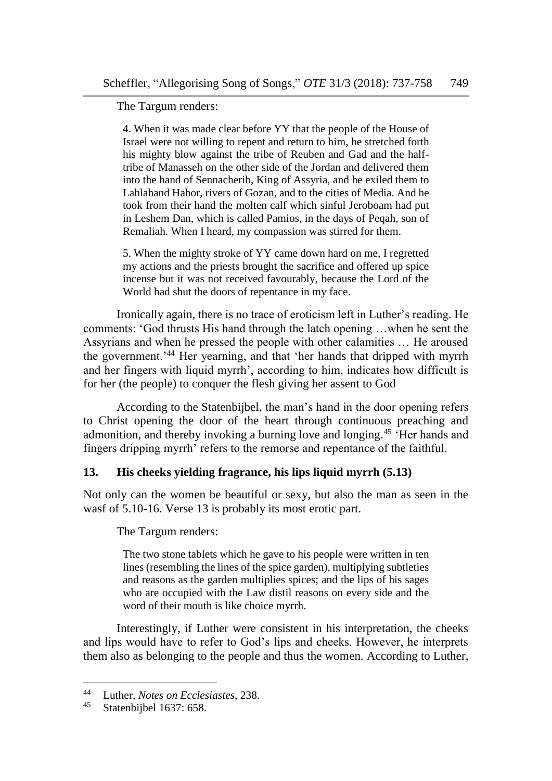The Targum renders:

4. When it was made clear before YY that the people of the House of Israel were not willing to repent and return to him, he stretched forth his mighty blow against the tribe of Reuben and Gad and the halftribe of Manasseh on the other side of the Jordan and delivered them into the hand of Sennacherib, King of Assyria, and he exiled them to Lahlahand Habor, rivers of Gozan, and to the cities of Media. And he took from their hand the molten calf which sinful Jeroboam had put in Leshem Dan, which is called Pamios, in the days of Peqah, son of Remaliah. When I heard, my compassion was stirred for them.

5. When the mighty stroke of YY came down hard on me, I regretted my actions and the priests brought the sacrifice and offered up spice incense but it was not received favourably, because the Lord of the World had shut the doors of repentance in my face.

Ironically again, there is no trace of eroticism left in Luther's reading. He comments: 'God thrusts His hand through the latch opening …when he sent the Assyrians and when he pressed the people with other calamities … He aroused the government.'<sup>44</sup> Her yearning, and that 'her hands that dripped with myrrh and her fingers with liquid myrrh', according to him, indicates how difficult is for her (the people) to conquer the flesh giving her assent to God

According to the Statenbijbel, the man's hand in the door opening refers to Christ opening the door of the heart through continuous preaching and admonition, and thereby invoking a burning love and longing.<sup>45</sup> 'Her hands and fingers dripping myrrh' refers to the remorse and repentance of the faithful.

# **13. His cheeks yielding fragrance, his lips liquid myrrh (5.13)**

Not only can the women be beautiful or sexy, but also the man as seen in the wasf of 5.10-16. Verse 13 is probably its most erotic part.

The Targum renders:

The two stone tablets which he gave to his people were written in ten lines (resembling the lines of the spice garden), multiplying subtleties and reasons as the garden multiplies spices; and the lips of his sages who are occupied with the Law distil reasons on every side and the word of their mouth is like choice myrrh.

Interestingly, if Luther were consistent in his interpretation, the cheeks and lips would have to refer to God's lips and cheeks. However, he interprets them also as belonging to the people and thus the women. According to Luther,

<sup>44</sup> Luther, *Notes on Ecclesiastes*, 238.

Statenbijbel 1637: 658.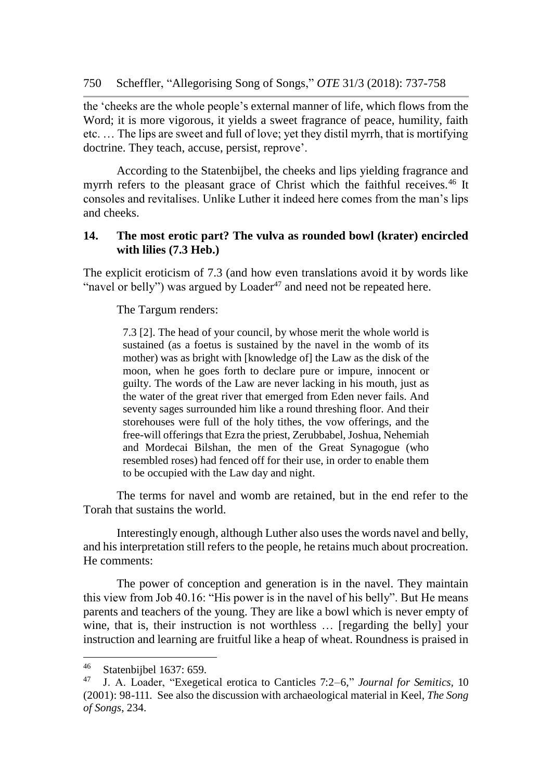the 'cheeks are the whole people's external manner of life, which flows from the Word; it is more vigorous, it yields a sweet fragrance of peace, humility, faith etc. … The lips are sweet and full of love; yet they distil myrrh, that is mortifying doctrine. They teach, accuse, persist, reprove'.

According to the Statenbijbel, the cheeks and lips yielding fragrance and myrrh refers to the pleasant grace of Christ which the faithful receives.<sup>46</sup> It consoles and revitalises. Unlike Luther it indeed here comes from the man's lips and cheeks.

#### **14. The most erotic part? The vulva as rounded bowl (krater) encircled with lilies (7.3 Heb.)**

The explicit eroticism of 7.3 (and how even translations avoid it by words like "navel or belly") was argued by  $Loader^{47}$  and need not be repeated here.

The Targum renders:

7.3 [2]. The head of your council, by whose merit the whole world is sustained (as a foetus is sustained by the navel in the womb of its mother) was as bright with [knowledge of] the Law as the disk of the moon, when he goes forth to declare pure or impure, innocent or guilty. The words of the Law are never lacking in his mouth, just as the water of the great river that emerged from Eden never fails. And seventy sages surrounded him like a round threshing floor. And their storehouses were full of the holy tithes, the vow offerings, and the free-will offerings that Ezra the priest, Zerubbabel, Joshua, Nehemiah and Mordecai Bilshan, the men of the Great Synagogue (who resembled roses) had fenced off for their use, in order to enable them to be occupied with the Law day and night.

The terms for navel and womb are retained, but in the end refer to the Torah that sustains the world.

Interestingly enough, although Luther also uses the words navel and belly, and his interpretation still refers to the people, he retains much about procreation. He comments:

The power of conception and generation is in the navel. They maintain this view from Job 40.16: "His power is in the navel of his belly". But He means parents and teachers of the young. They are like a bowl which is never empty of wine, that is, their instruction is not worthless ... [regarding the belly] your instruction and learning are fruitful like a heap of wheat. Roundness is praised in

<sup>&</sup>lt;sup>46</sup> Statenbijbel 1637: 659.

<sup>47</sup> J. A. Loader, "Exegetical erotica to Canticles 7:2–6," *Journal for Semitics,* 10 (2001): 98-111. See also the discussion with archaeological material in Keel, *The Song of Songs*, 234.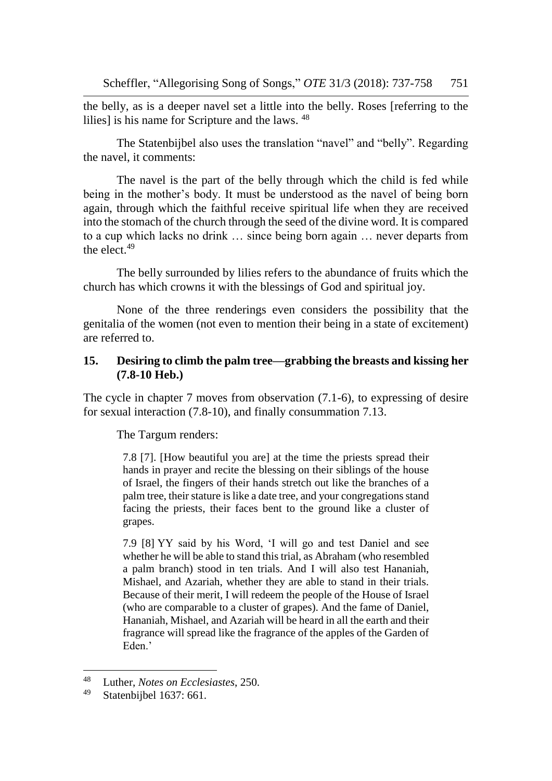the belly, as is a deeper navel set a little into the belly. Roses [referring to the lilies] is his name for Scripture and the laws. <sup>48</sup>

The Statenbijbel also uses the translation "navel" and "belly". Regarding the navel, it comments:

The navel is the part of the belly through which the child is fed while being in the mother's body. It must be understood as the navel of being born again, through which the faithful receive spiritual life when they are received into the stomach of the church through the seed of the divine word. It is compared to a cup which lacks no drink … since being born again … never departs from the elect. 49

The belly surrounded by lilies refers to the abundance of fruits which the church has which crowns it with the blessings of God and spiritual joy.

None of the three renderings even considers the possibility that the genitalia of the women (not even to mention their being in a state of excitement) are referred to.

## **15. Desiring to climb the palm tree—grabbing the breasts and kissing her (7.8-10 Heb.)**

The cycle in chapter 7 moves from observation (7.1-6), to expressing of desire for sexual interaction (7.8-10), and finally consummation 7.13.

The Targum renders:

7.8 [7]. [How beautiful you are] at the time the priests spread their hands in prayer and recite the blessing on their siblings of the house of Israel, the fingers of their hands stretch out like the branches of a palm tree, their stature islike a date tree, and your congregations stand facing the priests, their faces bent to the ground like a cluster of grapes.

7.9 [8] YY said by his Word, 'I will go and test Daniel and see whether he will be able to stand this trial, as Abraham (who resembled a palm branch) stood in ten trials. And I will also test Hananiah, Mishael, and Azariah, whether they are able to stand in their trials. Because of their merit, I will redeem the people of the House of Israel (who are comparable to a cluster of grapes). And the fame of Daniel, Hananiah, Mishael, and Azariah will be heard in all the earth and their fragrance will spread like the fragrance of the apples of the Garden of Eden<sup>'</sup>

<sup>48</sup> Luther, *Notes on Ecclesiastes*, 250.

Statenbijbel 1637: 661.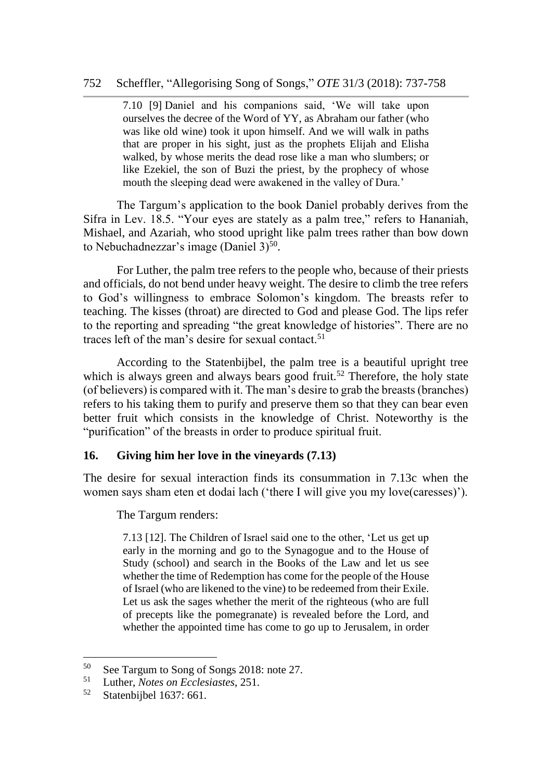# 752 Scheffler, "Allegorising Song of Songs," *OTE* 31/3 (2018): 737-758

7.10 [9] Daniel and his companions said, 'We will take upon ourselves the decree of the Word of YY, as Abraham our father (who was like old wine) took it upon himself. And we will walk in paths that are proper in his sight, just as the prophets Elijah and Elisha walked, by whose merits the dead rose like a man who slumbers; or like Ezekiel, the son of Buzi the priest, by the prophecy of whose mouth the sleeping dead were awakened in the valley of Dura.'

The Targum's application to the book Daniel probably derives from the Sifra in Lev. 18.5. "Your eyes are stately as a palm tree," refers to Hananiah, Mishael, and Azariah, who stood upright like palm trees rather than bow down to Nebuchadnezzar's image (Daniel  $3)$ <sup>50</sup>.

For Luther, the palm tree refers to the people who, because of their priests and officials, do not bend under heavy weight. The desire to climb the tree refers to God's willingness to embrace Solomon's kingdom. The breasts refer to teaching. The kisses (throat) are directed to God and please God. The lips refer to the reporting and spreading "the great knowledge of histories". There are no traces left of the man's desire for sexual contact.<sup>51</sup>

According to the Statenbijbel, the palm tree is a beautiful upright tree which is always green and always bears good fruit.<sup>52</sup> Therefore, the holy state (of believers) is compared with it. The man's desire to grab the breasts (branches) refers to his taking them to purify and preserve them so that they can bear even better fruit which consists in the knowledge of Christ. Noteworthy is the "purification" of the breasts in order to produce spiritual fruit.

#### **16. Giving him her love in the vineyards (7.13)**

The desire for sexual interaction finds its consummation in 7.13c when the women says sham eten et dodai lach ('there I will give you my love(caresses)').

The Targum renders:

7.13 [12]. The Children of Israel said one to the other, 'Let us get up early in the morning and go to the Synagogue and to the House of Study (school) and search in the Books of the Law and let us see whether the time of Redemption has come for the people of the House of Israel (who are likened to the vine) to be redeemed from their Exile. Let us ask the sages whether the merit of the righteous (who are full of precepts like the pomegranate) is revealed before the Lord, and whether the appointed time has come to go up to Jerusalem, in order

<sup>&</sup>lt;sup>50</sup> See Targum to Song of Songs 2018: note 27.<br> $\frac{51}{2}$  Juther Metas an Esclasiastes 251.

<sup>51</sup> Luther, *Notes on Ecclesiastes*, 251.

<sup>52</sup> Statenbijbel 1637: 661.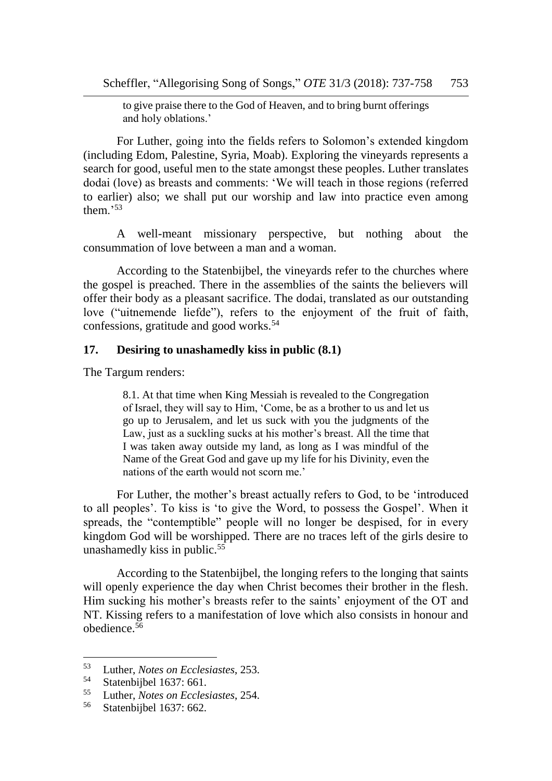to give praise there to the God of Heaven, and to bring burnt offerings and holy oblations.'

For Luther, going into the fields refers to Solomon's extended kingdom (including Edom, Palestine, Syria, Moab). Exploring the vineyards represents a search for good, useful men to the state amongst these peoples. Luther translates dodai (love) as breasts and comments: 'We will teach in those regions (referred to earlier) also; we shall put our worship and law into practice even among them<sup>353</sup>

A well-meant missionary perspective, but nothing about the consummation of love between a man and a woman.

According to the Statenbijbel, the vineyards refer to the churches where the gospel is preached. There in the assemblies of the saints the believers will offer their body as a pleasant sacrifice. The dodai, translated as our outstanding love ("uitnemende liefde"), refers to the enjoyment of the fruit of faith, confessions, gratitude and good works.<sup>54</sup>

#### **17. Desiring to unashamedly kiss in public (8.1)**

The Targum renders:

8.1. At that time when King Messiah is revealed to the Congregation of Israel, they will say to Him, 'Come, be as a brother to us and let us go up to Jerusalem, and let us suck with you the judgments of the Law, just as a suckling sucks at his mother's breast. All the time that I was taken away outside my land, as long as I was mindful of the Name of the Great God and gave up my life for his Divinity, even the nations of the earth would not scorn me.'

For Luther, the mother's breast actually refers to God, to be 'introduced to all peoples'. To kiss is 'to give the Word, to possess the Gospel'. When it spreads, the "contemptible" people will no longer be despised, for in every kingdom God will be worshipped. There are no traces left of the girls desire to unashamedly kiss in public.<sup>55</sup>

According to the Statenbijbel, the longing refers to the longing that saints will openly experience the day when Christ becomes their brother in the flesh. Him sucking his mother's breasts refer to the saints' enjoyment of the OT and NT. Kissing refers to a manifestation of love which also consists in honour and obedience.<sup>56</sup>

<sup>53</sup> Luther, *Notes on Ecclesiastes*, 253.

 $^{54}$  Statenbijbel 1637: 661.

<sup>55</sup> Luther, *Notes on Ecclesiastes*, 254.

Statenbijbel 1637: 662.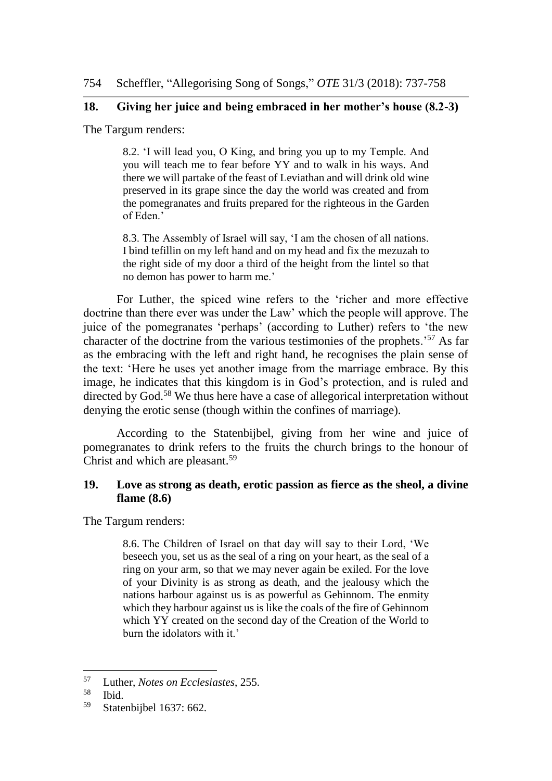# **18. Giving her juice and being embraced in her mother's house (8.2-3)**

The Targum renders:

8.2. 'I will lead you, O King, and bring you up to my Temple. And you will teach me to fear before YY and to walk in his ways. And there we will partake of the feast of Leviathan and will drink old wine preserved in its grape since the day the world was created and from the pomegranates and fruits prepared for the righteous in the Garden of Eden.'

8.3. The Assembly of Israel will say, 'I am the chosen of all nations. I bind tefillin on my left hand and on my head and fix the mezuzah to the right side of my door a third of the height from the lintel so that no demon has power to harm me.'

For Luther, the spiced wine refers to the 'richer and more effective doctrine than there ever was under the Law' which the people will approve. The juice of the pomegranates 'perhaps' (according to Luther) refers to 'the new character of the doctrine from the various testimonies of the prophets.'<sup>57</sup> As far as the embracing with the left and right hand, he recognises the plain sense of the text: 'Here he uses yet another image from the marriage embrace. By this image, he indicates that this kingdom is in God's protection, and is ruled and directed by God.<sup>58</sup> We thus here have a case of allegorical interpretation without denying the erotic sense (though within the confines of marriage).

According to the Statenbijbel, giving from her wine and juice of pomegranates to drink refers to the fruits the church brings to the honour of Christ and which are pleasant.<sup>59</sup>

# **19. Love as strong as death, erotic passion as fierce as the sheol, a divine flame (8.6)**

The Targum renders:

8.6. The Children of Israel on that day will say to their Lord, 'We beseech you, set us as the seal of a ring on your heart, as the seal of a ring on your arm, so that we may never again be exiled. For the love of your Divinity is as strong as death, and the jealousy which the nations harbour against us is as powerful as Gehinnom. The enmity which they harbour against us is like the coals of the fire of Gehinnom which YY created on the second day of the Creation of the World to burn the idolators with it.'

<sup>57</sup> Luther, *Notes on Ecclesiastes*, 255.

 $rac{58}{59}$  Ibid.

Statenbijbel 1637: 662.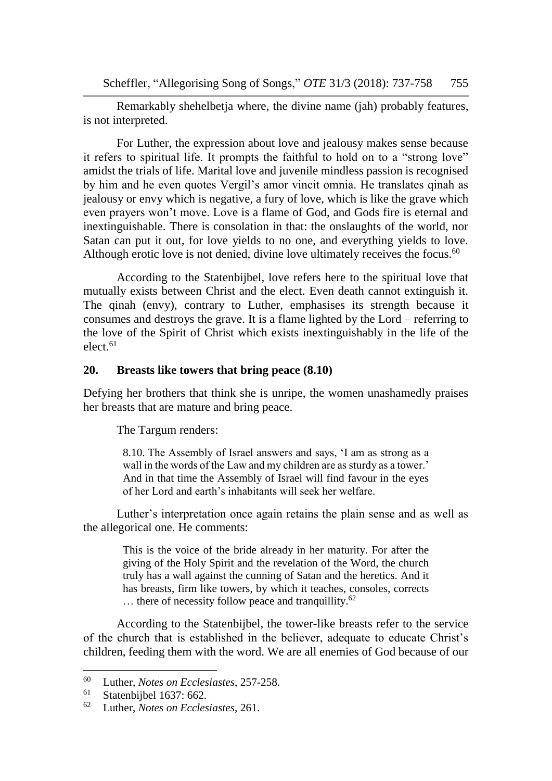Scheffler, "Allegorising Song of Songs," *OTE* 31/3 (2018): 737-758 755

Remarkably shehelbetja where, the divine name (jah) probably features, is not interpreted.

For Luther, the expression about love and jealousy makes sense because it refers to spiritual life. It prompts the faithful to hold on to a "strong love" amidst the trials of life. Marital love and juvenile mindless passion is recognised by him and he even quotes Vergil's amor vincit omnia. He translates qinah as jealousy or envy which is negative, a fury of love, which is like the grave which even prayers won't move. Love is a flame of God, and Gods fire is eternal and inextinguishable. There is consolation in that: the onslaughts of the world, nor Satan can put it out, for love yields to no one, and everything yields to love. Although erotic love is not denied, divine love ultimately receives the focus.<sup>60</sup>

According to the Statenbijbel, love refers here to the spiritual love that mutually exists between Christ and the elect. Even death cannot extinguish it. The qinah (envy), contrary to Luther, emphasises its strength because it consumes and destroys the grave. It is a flame lighted by the Lord – referring to the love of the Spirit of Christ which exists inextinguishably in the life of the elect. 61

#### **20. Breasts like towers that bring peace (8.10)**

Defying her brothers that think she is unripe, the women unashamedly praises her breasts that are mature and bring peace.

The Targum renders:

8.10. The Assembly of Israel answers and says, 'I am as strong as a wall in the words of the Law and my children are as sturdy as a tower.' And in that time the Assembly of Israel will find favour in the eyes of her Lord and earth's inhabitants will seek her welfare.

Luther's interpretation once again retains the plain sense and as well as the allegorical one. He comments:

> This is the voice of the bride already in her maturity. For after the giving of the Holy Spirit and the revelation of the Word, the church truly has a wall against the cunning of Satan and the heretics. And it has breasts, firm like towers, by which it teaches, consoles, corrects ... there of necessity follow peace and tranquillity.<sup>62</sup>

According to the Statenbijbel, the tower-like breasts refer to the service of the church that is established in the believer, adequate to educate Christ's children, feeding them with the word. We are all enemies of God because of our

<sup>60</sup> Luther, *Notes on Ecclesiastes*, 257-258.

 $^{61}$  Statenbijbel 1637: 662.<br> $^{62}$  Luther Notes on Eccles

<sup>62</sup> Luther, *Notes on Ecclesiastes*, 261.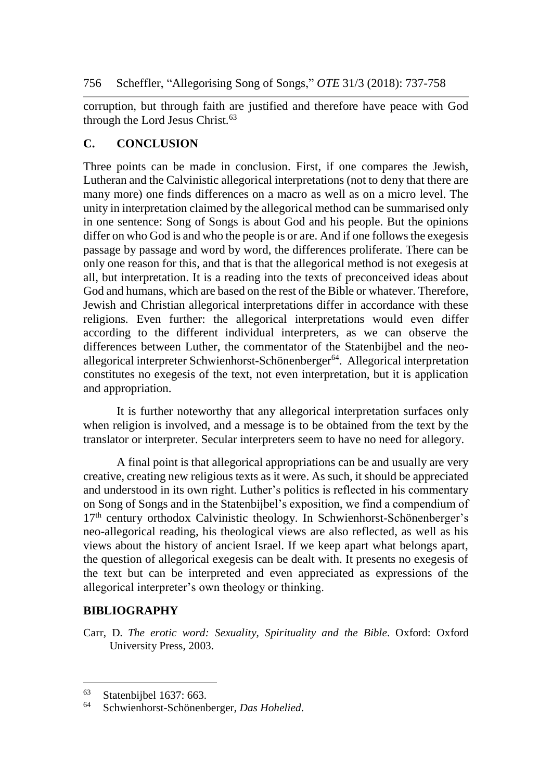corruption, but through faith are justified and therefore have peace with God through the Lord Jesus Christ.<sup>63</sup>

# **C. CONCLUSION**

Three points can be made in conclusion. First, if one compares the Jewish, Lutheran and the Calvinistic allegorical interpretations (not to deny that there are many more) one finds differences on a macro as well as on a micro level. The unity in interpretation claimed by the allegorical method can be summarised only in one sentence: Song of Songs is about God and his people. But the opinions differ on who God is and who the people is or are. And if one follows the exegesis passage by passage and word by word, the differences proliferate. There can be only one reason for this, and that is that the allegorical method is not exegesis at all, but interpretation. It is a reading into the texts of preconceived ideas about God and humans, which are based on the rest of the Bible or whatever. Therefore, Jewish and Christian allegorical interpretations differ in accordance with these religions. Even further: the allegorical interpretations would even differ according to the different individual interpreters, as we can observe the differences between Luther, the commentator of the Statenbijbel and the neoallegorical interpreter Schwienhorst-Schönenberger $64$ . Allegorical interpretation constitutes no exegesis of the text, not even interpretation, but it is application and appropriation.

It is further noteworthy that any allegorical interpretation surfaces only when religion is involved, and a message is to be obtained from the text by the translator or interpreter. Secular interpreters seem to have no need for allegory.

A final point is that allegorical appropriations can be and usually are very creative, creating new religious texts as it were. As such, it should be appreciated and understood in its own right. Luther's politics is reflected in his commentary on Song of Songs and in the Statenbijbel's exposition, we find a compendium of  $17<sup>th</sup>$  century orthodox Calvinistic theology. In Schwienhorst-Schönenberger's neo-allegorical reading, his theological views are also reflected, as well as his views about the history of ancient Israel. If we keep apart what belongs apart, the question of allegorical exegesis can be dealt with. It presents no exegesis of the text but can be interpreted and even appreciated as expressions of the allegorical interpreter's own theology or thinking.

# **BIBLIOGRAPHY**

 $\overline{a}$ 

Carr, D. *The erotic word: Sexuality, Spirituality and the Bible*. Oxford: Oxford University Press, 2003.

 $^{63}$  Statenbijbel 1637: 663.<br> $^{64}$  Schwienborst Schönenb

<sup>64</sup> Schwienhorst-Schönenberger, *Das Hohelied*.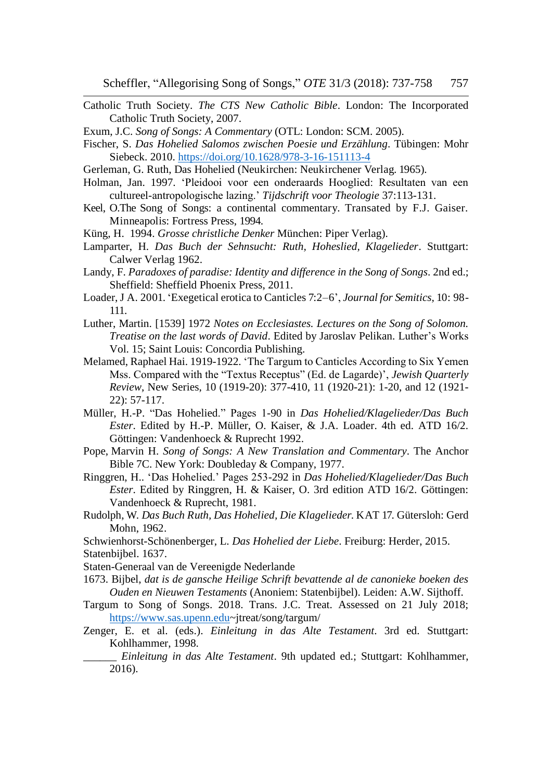- Catholic Truth Society. *The CTS New Catholic Bible*. London: The Incorporated Catholic Truth Society, 2007.
- Exum, J.C. *Song of Songs: A Commentary* (OTL: London: SCM. 2005).
- Fischer, S. *Das Hohelied Salomos zwischen Poesie und Erzählung*. Tübingen: Mohr Siebeck. 2010. <https://doi.org/10.1628/978-3-16-151113-4>
- Gerleman, G. Ruth, Das Hohelied (Neukirchen: Neukirchener Verlag. 1965).
- Holman, Jan. 1997. 'Pleidooi voor een onderaards Hooglied: Resultaten van een cultureel-antropologische lazing.' *Tijdschrift voor Theologie* 37:113-131.
- Keel, O.The Song of Songs: a continental commentary. Transated by F.J. Gaiser. Minneapolis: Fortress Press, 1994.
- Küng, H. 1994. *Grosse christliche Denker* München: Piper Verlag).
- Lamparter, H. *Das Buch der Sehnsucht: Ruth, Hoheslied, Klagelieder*. Stuttgart: Calwer Verlag 1962.
- Landy, F. *Paradoxes of paradise: Identity and difference in the Song of Songs*. 2nd ed.; Sheffield: Sheffield Phoenix Press, 2011.
- Loader, J A. 2001. 'Exegetical erotica to Canticles 7:2–6', *Journal for Semitics,* 10: 98- 111.
- Luther, Martin. [1539] 1972 *Notes on Ecclesiastes. Lectures on the Song of Solomon. Treatise on the last words of David*. Edited by Jaroslav Pelikan. Luther's Works Vol. 15; Saint Louis: Concordia Publishing.
- Melamed, Raphael Hai. 1919-1922. 'The Targum to Canticles According to Six Yemen Mss. Compared with the "Textus Receptus" (Ed. de Lagarde)', *Jewish Quarterly Review*, New Series, 10 (1919-20): 377-410, 11 (1920-21): 1-20, and 12 (1921- 22): 57-117.
- Müller, H.-P. "Das Hohelied." Pages 1-90 in *Das Hohelied/Klagelieder/Das Buch Ester*. Edited by H.-P. Müller, O. Kaiser, & J.A. Loader. 4th ed. ATD 16/2. Göttingen: Vandenhoeck & Ruprecht 1992.
- Pope, Marvin H. *Song of Songs: A New Translation and Commentary*. The Anchor Bible 7C. New York: Doubleday & Company, 1977.
- Ringgren, H.. 'Das Hohelied.' Pages 253-292 in *Das Hohelied/Klagelieder/Das Buch Ester*. Edited by Ringgren, H. & Kaiser, O. 3rd edition ATD 16/2. Göttingen: Vandenhoeck & Ruprecht, 1981.
- Rudolph, W. *Das Buch Ruth, Das Hohelied, Die Klagelieder*. KAT 17. Gütersloh: Gerd Mohn, 1962.
- Schwienhorst-Schönenberger, L. *Das Hohelied der Liebe*. Freiburg: Herder, 2015. Statenbijbel. 1637.
- Staten-Generaal van de Vereenigde Nederlande
- 1673. Bijbel, *dat is de gansche Heilige Schrift bevattende al de canonieke boeken des Ouden en Nieuwen Testaments* (Anoniem: Statenbijbel). Leiden: A.W. Sijthoff.
- Targum to Song of Songs. 2018. Trans. J.C. Treat. Assessed on 21 July 2018; https://www.sas.upenn.edu~jtreat/song/targum/
- Zenger, E. et al. (eds.). *Einleitung in das Alte Testament*. 3rd ed. Stuttgart: Kohlhammer, 1998.
	- \_\_\_\_\_\_ *Einleitung in das Alte Testament*. 9th updated ed.; Stuttgart: Kohlhammer, 2016).